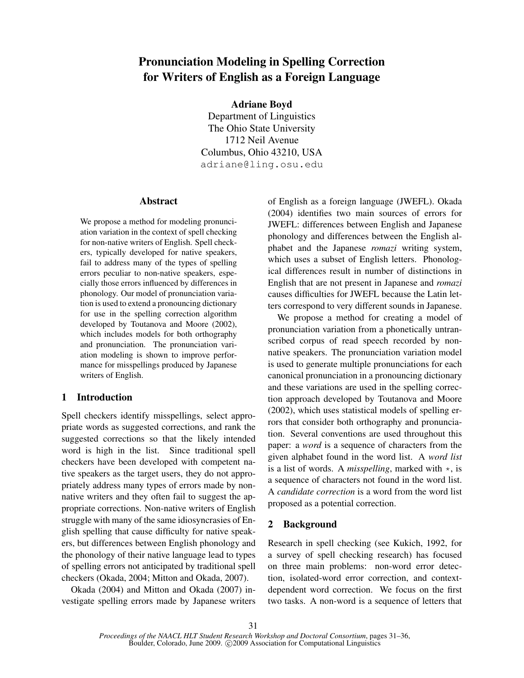# Pronunciation Modeling in Spelling Correction for Writers of English as a Foreign Language

Adriane Boyd

Department of Linguistics The Ohio State University 1712 Neil Avenue Columbus, Ohio 43210, USA adriane@ling.osu.edu

## Abstract

We propose a method for modeling pronunciation variation in the context of spell checking for non-native writers of English. Spell checkers, typically developed for native speakers, fail to address many of the types of spelling errors peculiar to non-native speakers, especially those errors influenced by differences in phonology. Our model of pronunciation variation is used to extend a pronouncing dictionary for use in the spelling correction algorithm developed by Toutanova and Moore (2002), which includes models for both orthography and pronunciation. The pronunciation variation modeling is shown to improve performance for misspellings produced by Japanese writers of English.

# 1 Introduction

Spell checkers identify misspellings, select appropriate words as suggested corrections, and rank the suggested corrections so that the likely intended word is high in the list. Since traditional spell checkers have been developed with competent native speakers as the target users, they do not appropriately address many types of errors made by nonnative writers and they often fail to suggest the appropriate corrections. Non-native writers of English struggle with many of the same idiosyncrasies of English spelling that cause difficulty for native speakers, but differences between English phonology and the phonology of their native language lead to types of spelling errors not anticipated by traditional spell checkers (Okada, 2004; Mitton and Okada, 2007).

Okada (2004) and Mitton and Okada (2007) investigate spelling errors made by Japanese writers of English as a foreign language (JWEFL). Okada (2004) identifies two main sources of errors for JWEFL: differences between English and Japanese phonology and differences between the English alphabet and the Japanese *romazi* writing system, which uses a subset of English letters. Phonological differences result in number of distinctions in English that are not present in Japanese and *romazi* causes difficulties for JWEFL because the Latin letters correspond to very different sounds in Japanese.

We propose a method for creating a model of pronunciation variation from a phonetically untranscribed corpus of read speech recorded by nonnative speakers. The pronunciation variation model is used to generate multiple pronunciations for each canonical pronunciation in a pronouncing dictionary and these variations are used in the spelling correction approach developed by Toutanova and Moore (2002), which uses statistical models of spelling errors that consider both orthography and pronunciation. Several conventions are used throughout this paper: a *word* is a sequence of characters from the given alphabet found in the word list. A *word list* is a list of words. A *misspelling*, marked with \*, is a sequence of characters not found in the word list. A *candidate correction* is a word from the word list proposed as a potential correction.

# 2 Background

Research in spell checking (see Kukich, 1992, for a survey of spell checking research) has focused on three main problems: non-word error detection, isolated-word error correction, and contextdependent word correction. We focus on the first two tasks. A non-word is a sequence of letters that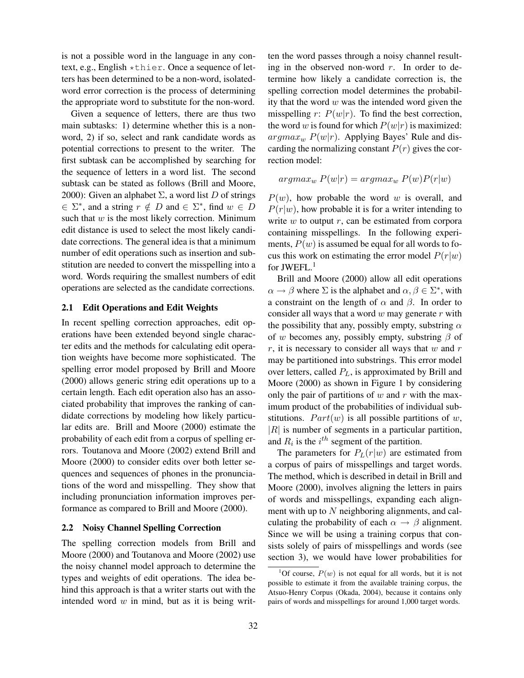is not a possible word in the language in any context, e.g., English \*thier. Once a sequence of letters has been determined to be a non-word, isolatedword error correction is the process of determining the appropriate word to substitute for the non-word.

Given a sequence of letters, there are thus two main subtasks: 1) determine whether this is a nonword, 2) if so, select and rank candidate words as potential corrections to present to the writer. The first subtask can be accomplished by searching for the sequence of letters in a word list. The second subtask can be stated as follows (Brill and Moore, 2000): Given an alphabet  $\Sigma$ , a word list D of strings  $\in \Sigma^*$ , and a string  $r \notin D$  and  $\in \Sigma^*$ , find  $w \in D$ such that  $w$  is the most likely correction. Minimum edit distance is used to select the most likely candidate corrections. The general idea is that a minimum number of edit operations such as insertion and substitution are needed to convert the misspelling into a word. Words requiring the smallest numbers of edit operations are selected as the candidate corrections.

## 2.1 Edit Operations and Edit Weights

In recent spelling correction approaches, edit operations have been extended beyond single character edits and the methods for calculating edit operation weights have become more sophisticated. The spelling error model proposed by Brill and Moore (2000) allows generic string edit operations up to a certain length. Each edit operation also has an associated probability that improves the ranking of candidate corrections by modeling how likely particular edits are. Brill and Moore (2000) estimate the probability of each edit from a corpus of spelling errors. Toutanova and Moore (2002) extend Brill and Moore (2000) to consider edits over both letter sequences and sequences of phones in the pronunciations of the word and misspelling. They show that including pronunciation information improves performance as compared to Brill and Moore (2000).

#### 2.2 Noisy Channel Spelling Correction

The spelling correction models from Brill and Moore (2000) and Toutanova and Moore (2002) use the noisy channel model approach to determine the types and weights of edit operations. The idea behind this approach is that a writer starts out with the intended word  $w$  in mind, but as it is being written the word passes through a noisy channel resulting in the observed non-word  $r$ . In order to determine how likely a candidate correction is, the spelling correction model determines the probability that the word  $w$  was the intended word given the misspelling r:  $P(w|r)$ . To find the best correction, the word w is found for which  $P(w|r)$  is maximized:  $argmax_w P(w|r)$ . Applying Bayes' Rule and discarding the normalizing constant  $P(r)$  gives the correction model:

$$
argmax_{w} P(w|r) = argmax_{w} P(w)P(r|w)
$$

 $P(w)$ , how probable the word w is overall, and  $P(r|w)$ , how probable it is for a writer intending to write  $w$  to output  $r$ , can be estimated from corpora containing misspellings. In the following experiments,  $P(w)$  is assumed be equal for all words to focus this work on estimating the error model  $P(r|w)$ for JWEFL.<sup>1</sup>

Brill and Moore (2000) allow all edit operations  $\alpha \to \beta$  where  $\Sigma$  is the alphabet and  $\alpha, \beta \in \Sigma^*$ , with a constraint on the length of  $\alpha$  and  $\beta$ . In order to consider all ways that a word  $w$  may generate  $r$  with the possibility that any, possibly empty, substring  $\alpha$ of w becomes any, possibly empty, substring  $\beta$  of  $r$ , it is necessary to consider all ways that  $w$  and  $r$ may be partitioned into substrings. This error model over letters, called  $P<sub>L</sub>$ , is approximated by Brill and Moore (2000) as shown in Figure 1 by considering only the pair of partitions of  $w$  and  $r$  with the maximum product of the probabilities of individual substitutions.  $Part(w)$  is all possible partitions of w,  $|R|$  is number of segments in a particular partition, and  $R_i$  is the  $i^{th}$  segment of the partition.

The parameters for  $P_L(r|w)$  are estimated from a corpus of pairs of misspellings and target words. The method, which is described in detail in Brill and Moore (2000), involves aligning the letters in pairs of words and misspellings, expanding each alignment with up to  $N$  neighboring alignments, and calculating the probability of each  $\alpha \rightarrow \beta$  alignment. Since we will be using a training corpus that consists solely of pairs of misspellings and words (see section 3), we would have lower probabilities for

<sup>&</sup>lt;sup>1</sup>Of course,  $P(w)$  is not equal for all words, but it is not possible to estimate it from the available training corpus, the Atsuo-Henry Corpus (Okada, 2004), because it contains only pairs of words and misspellings for around 1,000 target words.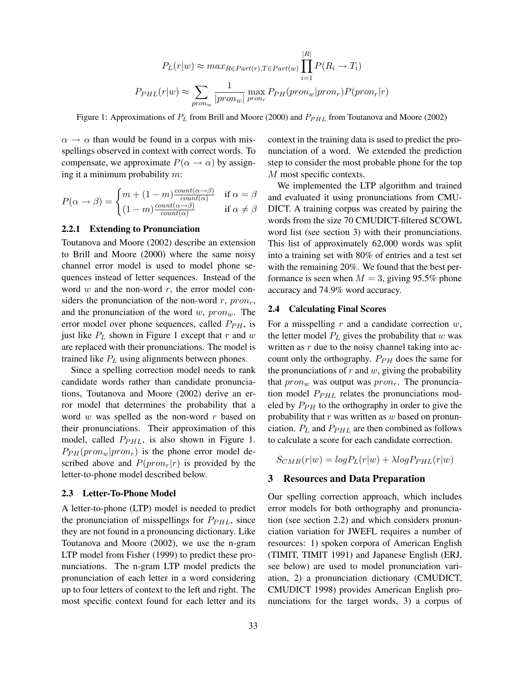$$
P_L(r|w) \approx max_{R \in Part(r), T \in Part(w)} \prod_{i=1}^{|R|} P(R_i \to T_i)
$$

$$
P_{PHL}(r|w) \approx \sum_{pron_w} \frac{1}{|pron_w|} \max_{pron_r} P_{PH}(pron_w|pron_r) P(pron_r|r)
$$

Figure 1: Approximations of  $P_L$  from Brill and Moore (2000) and  $P_{PHL}$  from Toutanova and Moore (2002)

 $\alpha \rightarrow \alpha$  than would be found in a corpus with misspellings observed in context with correct words. To compensate, we approximate  $P(\alpha \rightarrow \alpha)$  by assigning it a minimum probability  $m$ :

$$
P(\alpha \to \beta) = \begin{cases} m + (1 - m) \frac{count(\alpha \to \beta)}{count(\alpha)} & \text{if } \alpha = \beta \\ (1 - m) \frac{count(\alpha \to \beta)}{count(\alpha)} & \text{if } \alpha \neq \beta \end{cases}
$$

## 2.2.1 Extending to Pronunciation

Toutanova and Moore (2002) describe an extension to Brill and Moore (2000) where the same noisy channel error model is used to model phone sequences instead of letter sequences. Instead of the word  $w$  and the non-word  $r$ , the error model considers the pronunciation of the non-word  $r$ ,  $pron_r$ , and the pronunciation of the word  $w$ ,  $pron_w$ . The error model over phone sequences, called  $P_{PH}$ , is just like  $P<sub>L</sub>$  shown in Figure 1 except that r and w are replaced with their pronunciations. The model is trained like  $P<sub>L</sub>$  using alignments between phones.

Since a spelling correction model needs to rank candidate words rather than candidate pronunciations, Toutanova and Moore (2002) derive an error model that determines the probability that a word  $w$  was spelled as the non-word  $r$  based on their pronunciations. Their approximation of this model, called  $P_{PHL}$ , is also shown in Figure 1.  $P_{PH}(pron_w|pron_r)$  is the phone error model described above and  $P(pron_r|r)$  is provided by the letter-to-phone model described below.

## 2.3 Letter-To-Phone Model

A letter-to-phone (LTP) model is needed to predict the pronunciation of misspellings for  $P_{PHL}$ , since they are not found in a pronouncing dictionary. Like Toutanova and Moore (2002), we use the n-gram LTP model from Fisher (1999) to predict these pronunciations. The n-gram LTP model predicts the pronunciation of each letter in a word considering up to four letters of context to the left and right. The most specific context found for each letter and its context in the training data is used to predict the pronunciation of a word. We extended the prediction step to consider the most probable phone for the top M most specific contexts.

We implemented the LTP algorithm and trained and evaluated it using pronunciations from CMU-DICT. A training corpus was created by pairing the words from the size 70 CMUDICT-filtered SCOWL word list (see section 3) with their pronunciations. This list of approximately 62,000 words was split into a training set with 80% of entries and a test set with the remaining 20%. We found that the best performance is seen when  $M = 3$ , giving 95.5% phone accuracy and 74.9% word accuracy.

## 2.4 Calculating Final Scores

For a misspelling  $r$  and a candidate correction  $w$ , the letter model  $P_L$  gives the probability that w was written as  $r$  due to the noisy channel taking into account only the orthography.  $P_{PH}$  does the same for the pronunciations of  $r$  and  $w$ , giving the probability that  $pron_w$  was output was  $pron_r$ . The pronunciation model  $P_{PHL}$  relates the pronunciations modeled by  $P_{PH}$  to the orthography in order to give the probability that  $r$  was written as  $w$  based on pronunciation.  $P_L$  and  $P_{PHL}$  are then combined as follows to calculate a score for each candidate correction.

 $S_{CMB}(r|w) = log P_L(r|w) + \lambda log P_{PHL}(r|w)$ 

#### 3 Resources and Data Preparation

Our spelling correction approach, which includes error models for both orthography and pronunciation (see section 2.2) and which considers pronunciation variation for JWEFL requires a number of resources: 1) spoken corpora of American English (TIMIT, TIMIT 1991) and Japanese English (ERJ, see below) are used to model pronunciation variation, 2) a pronunciation dictionary (CMUDICT, CMUDICT 1998) provides American English pronunciations for the target words, 3) a corpus of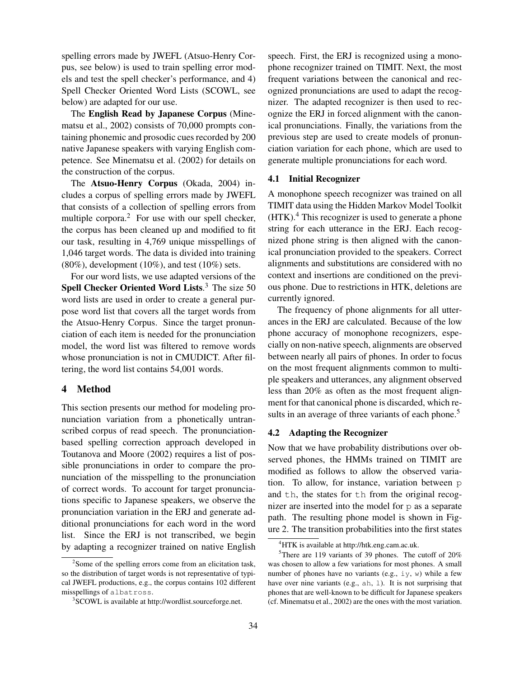spelling errors made by JWEFL (Atsuo-Henry Corpus, see below) is used to train spelling error models and test the spell checker's performance, and 4) Spell Checker Oriented Word Lists (SCOWL, see below) are adapted for our use.

The English Read by Japanese Corpus (Minematsu et al., 2002) consists of 70,000 prompts containing phonemic and prosodic cues recorded by 200 native Japanese speakers with varying English competence. See Minematsu et al. (2002) for details on the construction of the corpus.

The Atsuo-Henry Corpus (Okada, 2004) includes a corpus of spelling errors made by JWEFL that consists of a collection of spelling errors from multiple corpora.<sup>2</sup> For use with our spell checker, the corpus has been cleaned up and modified to fit our task, resulting in 4,769 unique misspellings of 1,046 target words. The data is divided into training  $(80\%)$ , development  $(10\%)$ , and test  $(10\%)$  sets.

For our word lists, we use adapted versions of the Spell Checker Oriented Word Lists.<sup>3</sup> The size 50 word lists are used in order to create a general purpose word list that covers all the target words from the Atsuo-Henry Corpus. Since the target pronunciation of each item is needed for the pronunciation model, the word list was filtered to remove words whose pronunciation is not in CMUDICT. After filtering, the word list contains 54,001 words.

## 4 Method

This section presents our method for modeling pronunciation variation from a phonetically untranscribed corpus of read speech. The pronunciationbased spelling correction approach developed in Toutanova and Moore (2002) requires a list of possible pronunciations in order to compare the pronunciation of the misspelling to the pronunciation of correct words. To account for target pronunciations specific to Japanese speakers, we observe the pronunciation variation in the ERJ and generate additional pronunciations for each word in the word list. Since the ERJ is not transcribed, we begin by adapting a recognizer trained on native English speech. First, the ERJ is recognized using a monophone recognizer trained on TIMIT. Next, the most frequent variations between the canonical and recognized pronunciations are used to adapt the recognizer. The adapted recognizer is then used to recognize the ERJ in forced alignment with the canonical pronunciations. Finally, the variations from the previous step are used to create models of pronunciation variation for each phone, which are used to generate multiple pronunciations for each word.

## 4.1 Initial Recognizer

A monophone speech recognizer was trained on all TIMIT data using the Hidden Markov Model Toolkit  $(HTK).$ <sup>4</sup> This recognizer is used to generate a phone string for each utterance in the ERJ. Each recognized phone string is then aligned with the canonical pronunciation provided to the speakers. Correct alignments and substitutions are considered with no context and insertions are conditioned on the previous phone. Due to restrictions in HTK, deletions are currently ignored.

The frequency of phone alignments for all utterances in the ERJ are calculated. Because of the low phone accuracy of monophone recognizers, especially on non-native speech, alignments are observed between nearly all pairs of phones. In order to focus on the most frequent alignments common to multiple speakers and utterances, any alignment observed less than 20% as often as the most frequent alignment for that canonical phone is discarded, which results in an average of three variants of each phone.<sup>5</sup>

#### 4.2 Adapting the Recognizer

Now that we have probability distributions over observed phones, the HMMs trained on TIMIT are modified as follows to allow the observed variation. To allow, for instance, variation between p and th, the states for th from the original recognizer are inserted into the model for p as a separate path. The resulting phone model is shown in Figure 2. The transition probabilities into the first states

<sup>&</sup>lt;sup>2</sup>Some of the spelling errors come from an elicitation task, so the distribution of target words is not representative of typical JWEFL productions, e.g., the corpus contains 102 different misspellings of albatross.

<sup>&</sup>lt;sup>3</sup>SCOWL is available at http://wordlist.sourceforge.net.

<sup>4</sup>HTK is available at http://htk.eng.cam.ac.uk.

 $5$ There are 119 variants of 39 phones. The cutoff of 20% was chosen to allow a few variations for most phones. A small number of phones have no variants (e.g.,  $\exists y, w$ ) while a few have over nine variants (e.g., ah, l). It is not surprising that phones that are well-known to be difficult for Japanese speakers (cf. Minematsu et al., 2002) are the ones with the most variation.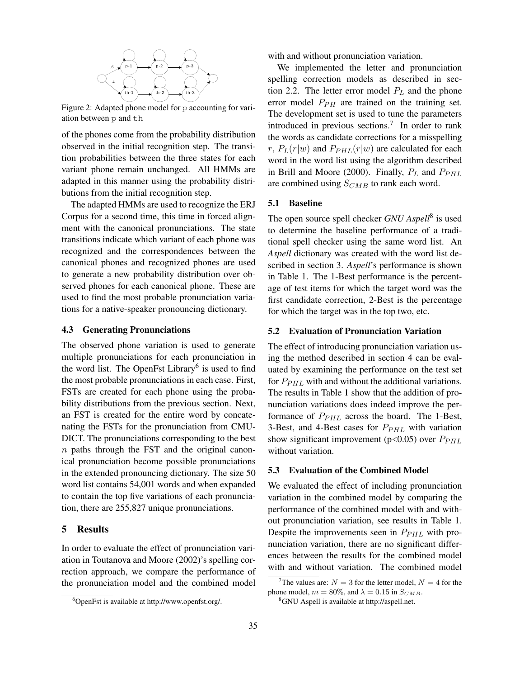

Figure 2: Adapted phone model for p accounting for variation between p and th

of the phones come from the probability distribution observed in the initial recognition step. The transition probabilities between the three states for each variant phone remain unchanged. All HMMs are adapted in this manner using the probability distributions from the initial recognition step.

The adapted HMMs are used to recognize the ERJ Corpus for a second time, this time in forced alignment with the canonical pronunciations. The state transitions indicate which variant of each phone was recognized and the correspondences between the canonical phones and recognized phones are used to generate a new probability distribution over observed phones for each canonical phone. These are used to find the most probable pronunciation variations for a native-speaker pronouncing dictionary.

#### 4.3 Generating Pronunciations

The observed phone variation is used to generate multiple pronunciations for each pronunciation in the word list. The OpenFst Library<sup>6</sup> is used to find the most probable pronunciations in each case. First, FSTs are created for each phone using the probability distributions from the previous section. Next, an FST is created for the entire word by concatenating the FSTs for the pronunciation from CMU-DICT. The pronunciations corresponding to the best n paths through the FST and the original canonical pronunciation become possible pronunciations in the extended pronouncing dictionary. The size 50 word list contains 54,001 words and when expanded to contain the top five variations of each pronunciation, there are 255,827 unique pronunciations.

## 5 Results

In order to evaluate the effect of pronunciation variation in Toutanova and Moore (2002)'s spelling correction approach, we compare the performance of the pronunciation model and the combined model with and without pronunciation variation.

We implemented the letter and pronunciation spelling correction models as described in section 2.2. The letter error model  $P_L$  and the phone error model  $P_{PH}$  are trained on the training set. The development set is used to tune the parameters introduced in previous sections.<sup>7</sup> In order to rank the words as candidate corrections for a misspelling r,  $P_L(r|w)$  and  $P_{PHL}(r|w)$  are calculated for each word in the word list using the algorithm described in Brill and Moore (2000). Finally,  $P_L$  and  $P_{PHL}$ are combined using  $S_{CMB}$  to rank each word.

#### 5.1 Baseline

The open source spell checker *GNU Aspell*<sup>8</sup> is used to determine the baseline performance of a traditional spell checker using the same word list. An *Aspell* dictionary was created with the word list described in section 3. *Aspell*'s performance is shown in Table 1. The 1-Best performance is the percentage of test items for which the target word was the first candidate correction, 2-Best is the percentage for which the target was in the top two, etc.

## 5.2 Evaluation of Pronunciation Variation

The effect of introducing pronunciation variation using the method described in section 4 can be evaluated by examining the performance on the test set for  $P_{PHL}$  with and without the additional variations. The results in Table 1 show that the addition of pronunciation variations does indeed improve the performance of  $P_{PHL}$  across the board. The 1-Best, 3-Best, and 4-Best cases for  $P_{PHL}$  with variation show significant improvement ( $p$ <0.05) over  $P_{PHL}$ without variation.

## 5.3 Evaluation of the Combined Model

We evaluated the effect of including pronunciation variation in the combined model by comparing the performance of the combined model with and without pronunciation variation, see results in Table 1. Despite the improvements seen in  $P_{PHL}$  with pronunciation variation, there are no significant differences between the results for the combined model with and without variation. The combined model

<sup>6</sup>OpenFst is available at http://www.openfst.org/.

<sup>&</sup>lt;sup>7</sup>The values are:  $N = 3$  for the letter model,  $N = 4$  for the phone model,  $m = 80\%$ , and  $\lambda = 0.15$  in  $S_{CMB}$ .

<sup>8</sup>GNU Aspell is available at http://aspell.net.